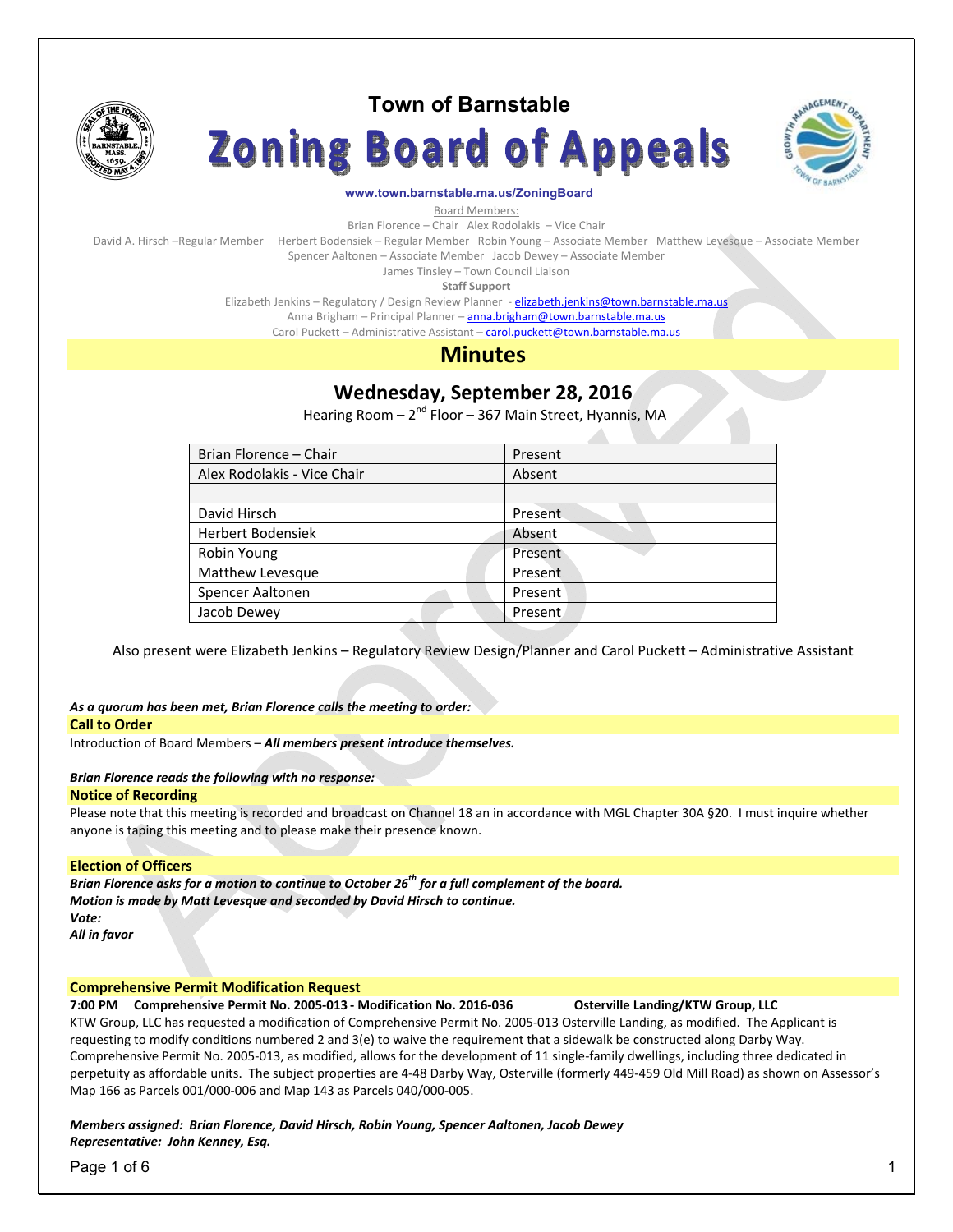

# **Town of Barnstable**

**Zoning Board of Appeals** 



#### **www.town.barnstable.ma.us/ZoningBoard**

Board Members:

Brian Florence – Chair Alex Rodolakis – Vice Chair

David A. Hirsch –Regular Member Herbert Bodensiek – Regular Member Robin Young – Associate Member Matthew Levesque – Associate Member

Spencer Aaltonen – Associate Member Jacob Dewey – Associate Member

James Tinsley – Town Council Liaison **Staff Support** 

Elizabeth Jenkins - Regulatory / Design Review Planner - elizabeth.jenkins@town.barnstable.ma.us

Anna Brigham – Principal Planner – anna.brigham@town.barnstable.ma.us

Carol Puckett – Administrative Assistant – carol.puckett@town.barnstable.ma.us

# **Minutes**

# **Wednesday, September 28, 2016**

Hearing Room - 2<sup>nd</sup> Floor - 367 Main Street, Hyannis, MA

| Brian Florence - Chair      | Present |
|-----------------------------|---------|
| Alex Rodolakis - Vice Chair | Absent  |
|                             |         |
| David Hirsch                | Present |
| <b>Herbert Bodensiek</b>    | Absent  |
| Robin Young                 | Present |
| Matthew Levesque            | Present |
| Spencer Aaltonen            | Present |
| Jacob Dewey                 | Present |
|                             |         |

Also present were Elizabeth Jenkins – Regulatory Review Design/Planner and Carol Puckett – Administrative Assistant

## *As a quorum has been met, Brian Florence calls the meeting to order:*

#### **Call to Order**

Introduction of Board Members – *All members present introduce themselves.* 

#### *Brian Florence reads the following with no response:*

#### **Notice of Recording**

Please note that this meeting is recorded and broadcast on Channel 18 an in accordance with MGL Chapter 30A §20. I must inquire whether anyone is taping this meeting and to please make their presence known.

### **Election of Officers**

*Brian Florence asks for a motion to continue to October 26th for a full complement of the board. Motion is made by Matt Levesque and seconded by David Hirsch to continue. Vote: All in favor* 

# **Comprehensive Permit Modification Request**

**7:00 PM Comprehensive Permit No. 2005-013 - Modification No. 2016-036 Osterville Landing/KTW Group, LLC**  KTW Group, LLC has requested a modification of Comprehensive Permit No. 2005-013 Osterville Landing, as modified. The Applicant is requesting to modify conditions numbered 2 and 3(e) to waive the requirement that a sidewalk be constructed along Darby Way. Comprehensive Permit No. 2005-013, as modified, allows for the development of 11 single-family dwellings, including three dedicated in perpetuity as affordable units. The subject properties are 4-48 Darby Way, Osterville (formerly 449-459 Old Mill Road) as shown on Assessor's Map 166 as Parcels 001/000-006 and Map 143 as Parcels 040/000-005.

### *Members assigned: Brian Florence, David Hirsch, Robin Young, Spencer Aaltonen, Jacob Dewey Representative: John Kenney, Esq.*

Page 1 of 6 1 and 2012 1 and 2012 1 and 2012 1 and 2012 1 and 2012 1 and 2012 1 and 2012 1 and 2012 1 and 2012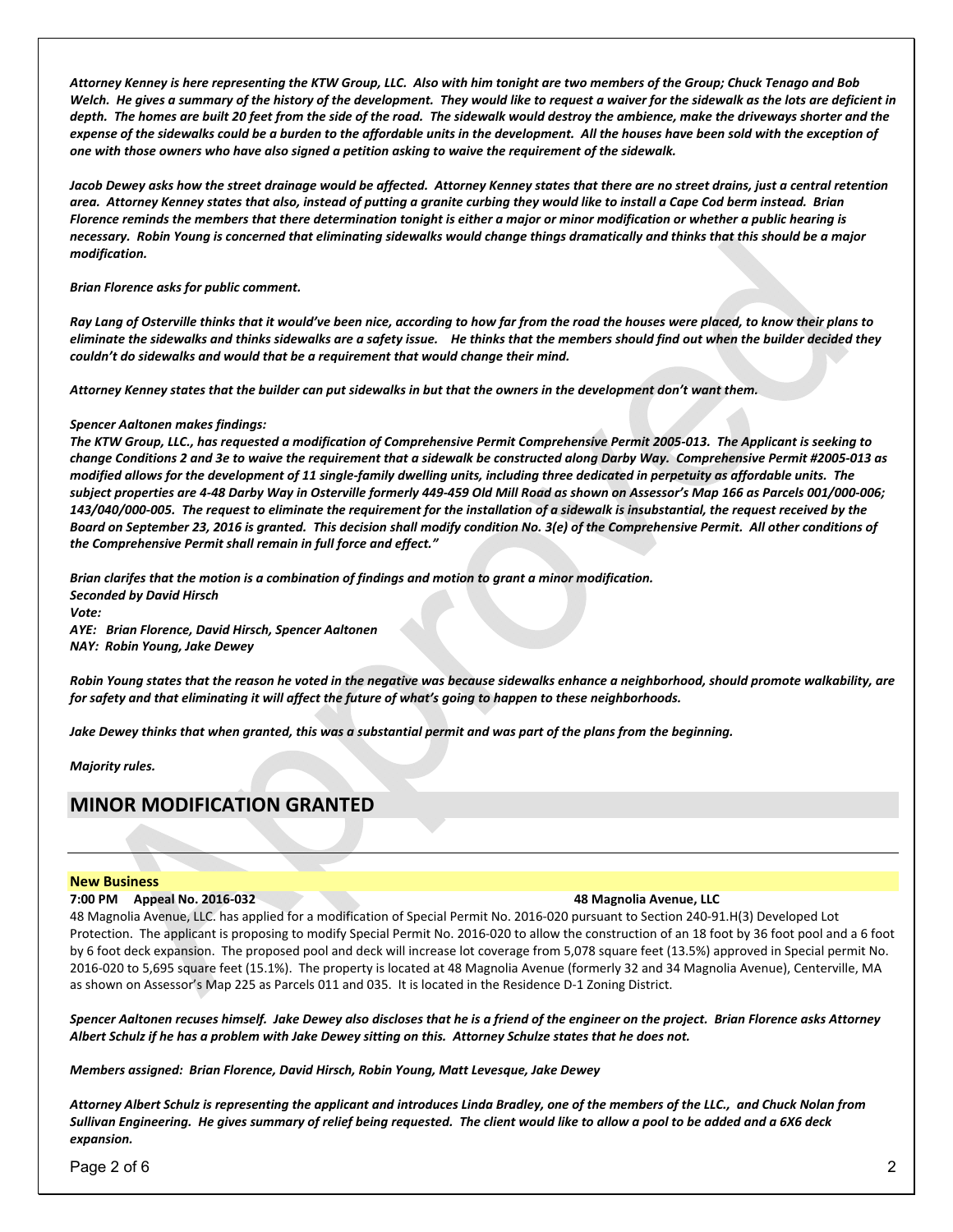*Attorney Kenney is here representing the KTW Group, LLC. Also with him tonight are two members of the Group; Chuck Tenago and Bob Welch. He gives a summary of the history of the development. They would like to request a waiver for the sidewalk as the lots are deficient in depth. The homes are built 20 feet from the side of the road. The sidewalk would destroy the ambience, make the driveways shorter and the expense of the sidewalks could be a burden to the affordable units in the development. All the houses have been sold with the exception of one with those owners who have also signed a petition asking to waive the requirement of the sidewalk.* 

*Jacob Dewey asks how the street drainage would be affected. Attorney Kenney states that there are no street drains, just a central retention area. Attorney Kenney states that also, instead of putting a granite curbing they would like to install a Cape Cod berm instead. Brian Florence reminds the members that there determination tonight is either a major or minor modification or whether a public hearing is necessary. Robin Young is concerned that eliminating sidewalks would change things dramatically and thinks that this should be a major modification.* 

*Brian Florence asks for public comment.* 

*Ray Lang of Osterville thinks that it would've been nice, according to how far from the road the houses were placed, to know their plans to eliminate the sidewalks and thinks sidewalks are a safety issue. He thinks that the members should find out when the builder decided they couldn't do sidewalks and would that be a requirement that would change their mind.* 

*Attorney Kenney states that the builder can put sidewalks in but that the owners in the development don't want them.* 

#### *Spencer Aaltonen makes findings:*

*The KTW Group, LLC., has requested a modification of Comprehensive Permit Comprehensive Permit 2005-013. The Applicant is seeking to change Conditions 2 and 3e to waive the requirement that a sidewalk be constructed along Darby Way. Comprehensive Permit #2005-013 as modified allows for the development of 11 single-family dwelling units, including three dedicated in perpetuity as affordable units. The subject properties are 4-48 Darby Way in Osterville formerly 449-459 Old Mill Road as shown on Assessor's Map 166 as Parcels 001/000-006; 143/040/000-005. The request to eliminate the requirement for the installation of a sidewalk is insubstantial, the request received by the Board on September 23, 2016 is granted. This decision shall modify condition No. 3(e) of the Comprehensive Permit. All other conditions of the Comprehensive Permit shall remain in full force and effect."* 

*Brian clarifes that the motion is a combination of findings and motion to grant a minor modification. Seconded by David Hirsch Vote: AYE: Brian Florence, David Hirsch, Spencer Aaltonen NAY: Robin Young, Jake Dewey* 

*Robin Young states that the reason he voted in the negative was because sidewalks enhance a neighborhood, should promote walkability, are for safety and that eliminating it will affect the future of what's going to happen to these neighborhoods.* 

*Jake Dewey thinks that when granted, this was a substantial permit and was part of the plans from the beginning.* 

*Majority rules.* 

# **MINOR MODIFICATION GRANTED**

#### **New Business**

#### **7:00 PM Appeal No. 2016-032 48 Magnolia Avenue, LLC**

48 Magnolia Avenue, LLC. has applied for a modification of Special Permit No. 2016-020 pursuant to Section 240-91.H(3) Developed Lot Protection. The applicant is proposing to modify Special Permit No. 2016-020 to allow the construction of an 18 foot by 36 foot pool and a 6 foot by 6 foot deck expansion. The proposed pool and deck will increase lot coverage from 5,078 square feet (13.5%) approved in Special permit No. 2016-020 to 5,695 square feet (15.1%). The property is located at 48 Magnolia Avenue (formerly 32 and 34 Magnolia Avenue), Centerville, MA as shown on Assessor's Map 225 as Parcels 011 and 035. It is located in the Residence D-1 Zoning District.

*Spencer Aaltonen recuses himself. Jake Dewey also discloses that he is a friend of the engineer on the project. Brian Florence asks Attorney Albert Schulz if he has a problem with Jake Dewey sitting on this. Attorney Schulze states that he does not.* 

*Members assigned: Brian Florence, David Hirsch, Robin Young, Matt Levesque, Jake Dewey* 

*Attorney Albert Schulz is representing the applicant and introduces Linda Bradley, one of the members of the LLC., and Chuck Nolan from Sullivan Engineering. He gives summary of relief being requested. The client would like to allow a pool to be added and a 6X6 deck expansion.* 

Page 2 of 6 2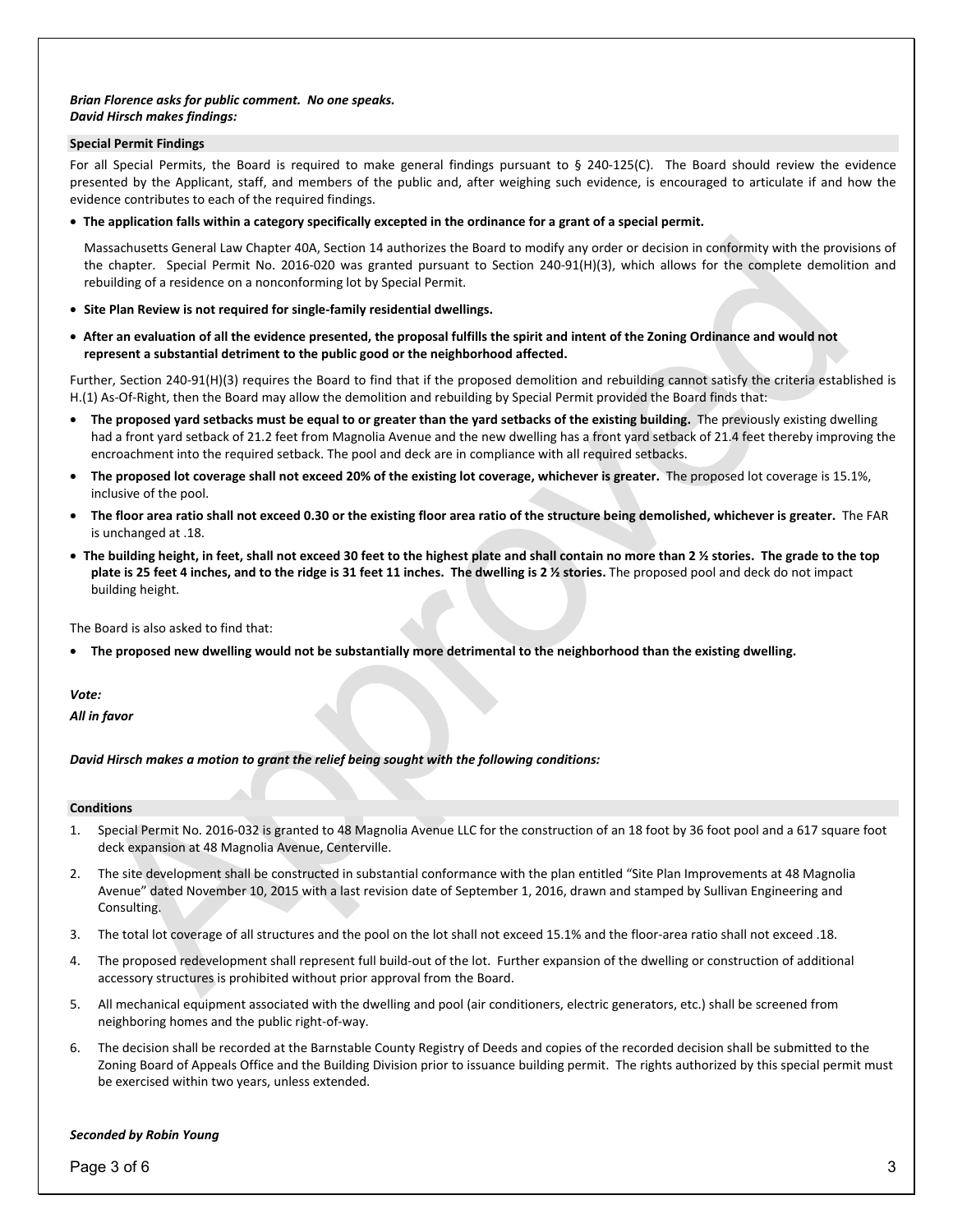#### *Brian Florence asks for public comment. No one speaks. David Hirsch makes findings:*

#### **Special Permit Findings**

For all Special Permits, the Board is required to make general findings pursuant to § 240-125(C). The Board should review the evidence presented by the Applicant, staff, and members of the public and, after weighing such evidence, is encouraged to articulate if and how the evidence contributes to each of the required findings.

• **The application falls within a category specifically excepted in the ordinance for a grant of a special permit.** 

Massachusetts General Law Chapter 40A, Section 14 authorizes the Board to modify any order or decision in conformity with the provisions of the chapter. Special Permit No. 2016-020 was granted pursuant to Section 240-91(H)(3), which allows for the complete demolition and rebuilding of a residence on a nonconforming lot by Special Permit.

- **Site Plan Review is not required for single-family residential dwellings.**
- **After an evaluation of all the evidence presented, the proposal fulfills the spirit and intent of the Zoning Ordinance and would not represent a substantial detriment to the public good or the neighborhood affected.**

Further, Section 240-91(H)(3) requires the Board to find that if the proposed demolition and rebuilding cannot satisfy the criteria established is H.(1) As-Of-Right, then the Board may allow the demolition and rebuilding by Special Permit provided the Board finds that:

- **The proposed yard setbacks must be equal to or greater than the yard setbacks of the existing building.** The previously existing dwelling had a front yard setback of 21.2 feet from Magnolia Avenue and the new dwelling has a front yard setback of 21.4 feet thereby improving the encroachment into the required setback. The pool and deck are in compliance with all required setbacks.
- **The proposed lot coverage shall not exceed 20% of the existing lot coverage, whichever is greater.** The proposed lot coverage is 15.1%, inclusive of the pool.
- **The floor area ratio shall not exceed 0.30 or the existing floor area ratio of the structure being demolished, whichever is greater.** The FAR is unchanged at .18.
- **The building height, in feet, shall not exceed 30 feet to the highest plate and shall contain no more than 2 ½ stories. The grade to the top plate is 25 feet 4 inches, and to the ridge is 31 feet 11 inches. The dwelling is 2 ½ stories.** The proposed pool and deck do not impact building height.

The Board is also asked to find that:

• **The proposed new dwelling would not be substantially more detrimental to the neighborhood than the existing dwelling.** 

#### *Vote:*

*All in favor* 

*David Hirsch makes a motion to grant the relief being sought with the following conditions:* 

#### **Conditions**

- 1. Special Permit No. 2016-032 is granted to 48 Magnolia Avenue LLC for the construction of an 18 foot by 36 foot pool and a 617 square foot deck expansion at 48 Magnolia Avenue, Centerville.
- 2. The site development shall be constructed in substantial conformance with the plan entitled "Site Plan Improvements at 48 Magnolia Avenue" dated November 10, 2015 with a last revision date of September 1, 2016, drawn and stamped by Sullivan Engineering and Consulting.
- 3. The total lot coverage of all structures and the pool on the lot shall not exceed 15.1% and the floor-area ratio shall not exceed .18.
- 4. The proposed redevelopment shall represent full build-out of the lot. Further expansion of the dwelling or construction of additional accessory structures is prohibited without prior approval from the Board.
- 5. All mechanical equipment associated with the dwelling and pool (air conditioners, electric generators, etc.) shall be screened from neighboring homes and the public right-of-way.
- 6. The decision shall be recorded at the Barnstable County Registry of Deeds and copies of the recorded decision shall be submitted to the Zoning Board of Appeals Office and the Building Division prior to issuance building permit. The rights authorized by this special permit must be exercised within two years, unless extended.

#### *Seconded by Robin Young*

Page 3 of 6 3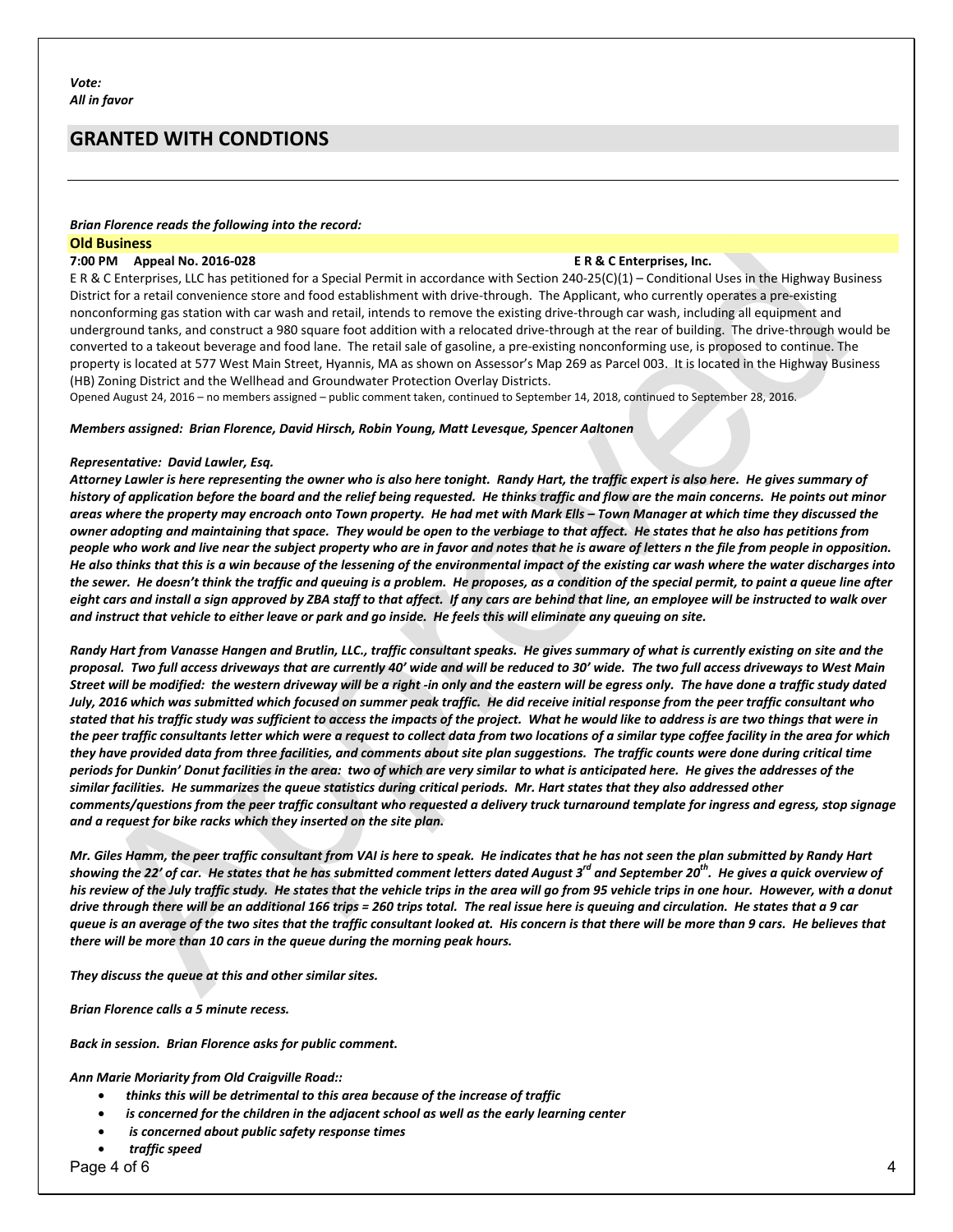# **GRANTED WITH CONDTIONS**

#### *Brian Florence reads the following into the record:*

#### **Old Business**

#### **7:00 PM Appeal No. 2016-028 E R & C Enterprises, Inc.**

E R & C Enterprises, LLC has petitioned for a Special Permit in accordance with Section 240-25(C)(1) – Conditional Uses in the Highway Business District for a retail convenience store and food establishment with drive-through. The Applicant, who currently operates a pre-existing nonconforming gas station with car wash and retail, intends to remove the existing drive-through car wash, including all equipment and underground tanks, and construct a 980 square foot addition with a relocated drive-through at the rear of building. The drive-through would be converted to a takeout beverage and food lane. The retail sale of gasoline, a pre-existing nonconforming use, is proposed to continue. The property is located at 577 West Main Street, Hyannis, MA as shown on Assessor's Map 269 as Parcel 003. It is located in the Highway Business (HB) Zoning District and the Wellhead and Groundwater Protection Overlay Districts.

Opened August 24, 2016 – no members assigned – public comment taken, continued to September 14, 2018, continued to September 28, 2016.

#### *Members assigned: Brian Florence, David Hirsch, Robin Young, Matt Levesque, Spencer Aaltonen*

#### *Representative: David Lawler, Esq.*

*Attorney Lawler is here representing the owner who is also here tonight. Randy Hart, the traffic expert is also here. He gives summary of history of application before the board and the relief being requested. He thinks traffic and flow are the main concerns. He points out minor areas where the property may encroach onto Town property. He had met with Mark Ells – Town Manager at which time they discussed the owner adopting and maintaining that space. They would be open to the verbiage to that affect. He states that he also has petitions from people who work and live near the subject property who are in favor and notes that he is aware of letters n the file from people in opposition. He also thinks that this is a win because of the lessening of the environmental impact of the existing car wash where the water discharges into the sewer. He doesn't think the traffic and queuing is a problem. He proposes, as a condition of the special permit, to paint a queue line after eight cars and install a sign approved by ZBA staff to that affect. If any cars are behind that line, an employee will be instructed to walk over and instruct that vehicle to either leave or park and go inside. He feels this will eliminate any queuing on site.* 

*Randy Hart from Vanasse Hangen and Brutlin, LLC., traffic consultant speaks. He gives summary of what is currently existing on site and the proposal. Two full access driveways that are currently 40' wide and will be reduced to 30' wide. The two full access driveways to West Main Street will be modified: the western driveway will be a right -in only and the eastern will be egress only. The have done a traffic study dated July, 2016 which was submitted which focused on summer peak traffic. He did receive initial response from the peer traffic consultant who stated that his traffic study was sufficient to access the impacts of the project. What he would like to address is are two things that were in the peer traffic consultants letter which were a request to collect data from two locations of a similar type coffee facility in the area for which they have provided data from three facilities, and comments about site plan suggestions. The traffic counts were done during critical time periods for Dunkin' Donut facilities in the area: two of which are very similar to what is anticipated here. He gives the addresses of the similar facilities. He summarizes the queue statistics during critical periods. Mr. Hart states that they also addressed other comments/questions from the peer traffic consultant who requested a delivery truck turnaround template for ingress and egress, stop signage and a request for bike racks which they inserted on the site plan.* 

*Mr. Giles Hamm, the peer traffic consultant from VAI is here to speak. He indicates that he has not seen the plan submitted by Randy Hart showing the 22' of car. He states that he has submitted comment letters dated August 3rd and September 20th. He gives a quick overview of his review of the July traffic study. He states that the vehicle trips in the area will go from 95 vehicle trips in one hour. However, with a donut drive through there will be an additional 166 trips = 260 trips total. The real issue here is queuing and circulation. He states that a 9 car queue is an average of the two sites that the traffic consultant looked at. His concern is that there will be more than 9 cars. He believes that there will be more than 10 cars in the queue during the morning peak hours.* 

*They discuss the queue at this and other similar sites.* 

*Brian Florence calls a 5 minute recess.* 

*Back in session. Brian Florence asks for public comment.* 

*Ann Marie Moriarity from Old Craigville Road::* 

- *thinks this will be detrimental to this area because of the increase of traffic*
- *is concerned for the children in the adjacent school as well as the early learning center*
- • *is concerned about public safety response times*

• *traffic speed* 

Page 4 of 6 4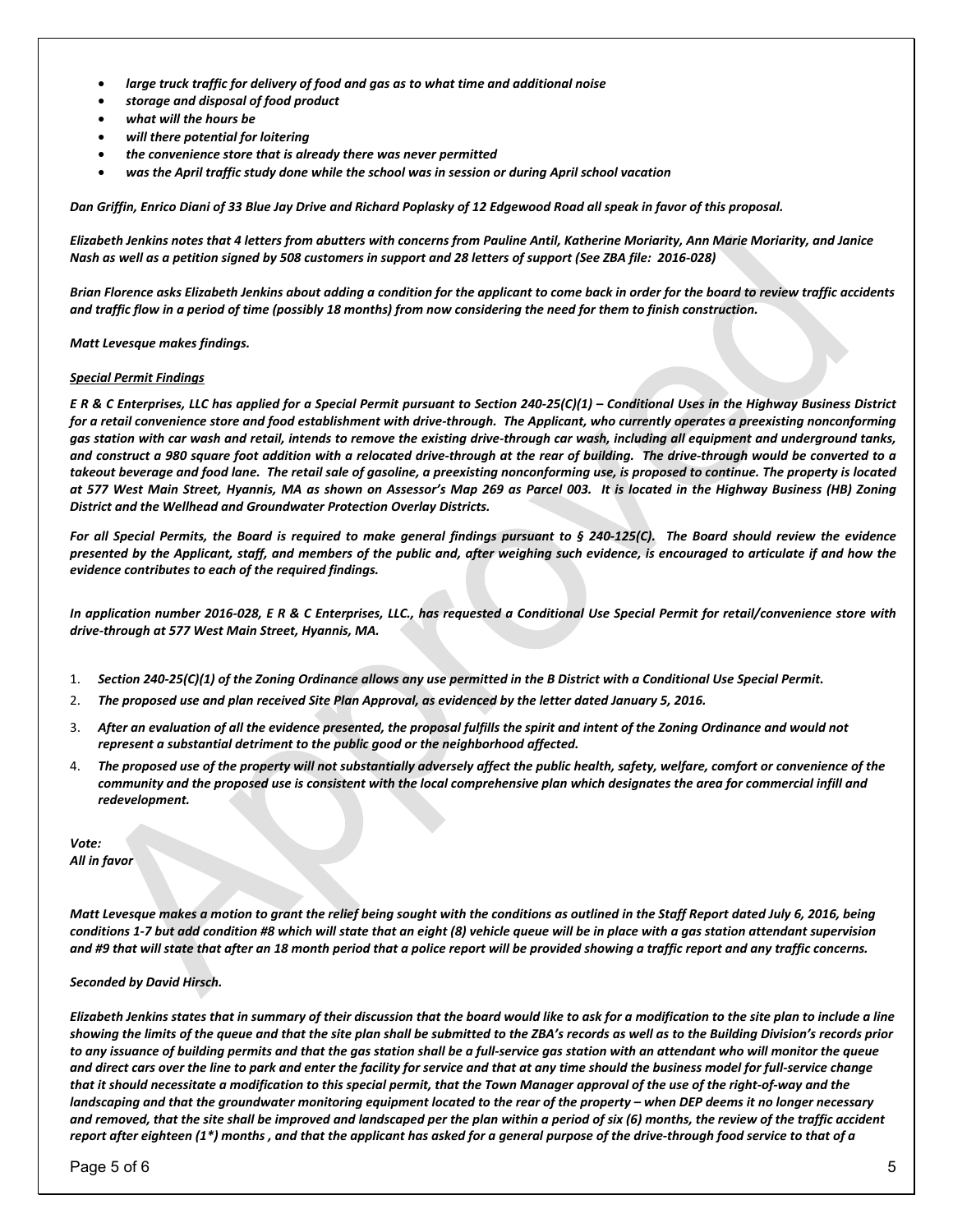- *large truck traffic for delivery of food and gas as to what time and additional noise*
- *storage and disposal of food product*
- *what will the hours be*
- *will there potential for loitering*
- *the convenience store that is already there was never permitted*
- *was the April traffic study done while the school was in session or during April school vacation*

*Dan Griffin, Enrico Diani of 33 Blue Jay Drive and Richard Poplasky of 12 Edgewood Road all speak in favor of this proposal.* 

*Elizabeth Jenkins notes that 4 letters from abutters with concerns from Pauline Antil, Katherine Moriarity, Ann Marie Moriarity, and Janice Nash as well as a petition signed by 508 customers in support and 28 letters of support (See ZBA file: 2016-028)* 

*Brian Florence asks Elizabeth Jenkins about adding a condition for the applicant to come back in order for the board to review traffic accidents and traffic flow in a period of time (possibly 18 months) from now considering the need for them to finish construction.* 

#### *Matt Levesque makes findings.*

#### *Special Permit Findings*

*E R & C Enterprises, LLC has applied for a Special Permit pursuant to Section 240-25(C)(1) – Conditional Uses in the Highway Business District for a retail convenience store and food establishment with drive-through. The Applicant, who currently operates a preexisting nonconforming gas station with car wash and retail, intends to remove the existing drive-through car wash, including all equipment and underground tanks, and construct a 980 square foot addition with a relocated drive-through at the rear of building. The drive-through would be converted to a takeout beverage and food lane. The retail sale of gasoline, a preexisting nonconforming use, is proposed to continue. The property is located at 577 West Main Street, Hyannis, MA as shown on Assessor's Map 269 as Parcel 003. It is located in the Highway Business (HB) Zoning District and the Wellhead and Groundwater Protection Overlay Districts.* 

*For all Special Permits, the Board is required to make general findings pursuant to § 240-125(C). The Board should review the evidence presented by the Applicant, staff, and members of the public and, after weighing such evidence, is encouraged to articulate if and how the evidence contributes to each of the required findings.* 

*In application number 2016-028, E R & C Enterprises, LLC., has requested a Conditional Use Special Permit for retail/convenience store with drive-through at 577 West Main Street, Hyannis, MA.* 

- 1. *Section 240-25(C)(1) of the Zoning Ordinance allows any use permitted in the B District with a Conditional Use Special Permit.*
- 2. *The proposed use and plan received Site Plan Approval, as evidenced by the letter dated January 5, 2016.*
- 3. *After an evaluation of all the evidence presented, the proposal fulfills the spirit and intent of the Zoning Ordinance and would not represent a substantial detriment to the public good or the neighborhood affected.*
- 4. *The proposed use of the property will not substantially adversely affect the public health, safety, welfare, comfort or convenience of the community and the proposed use is consistent with the local comprehensive plan which designates the area for commercial infill and redevelopment.*

*Vote: All in favor* 

*Matt Levesque makes a motion to grant the relief being sought with the conditions as outlined in the Staff Report dated July 6, 2016, being conditions 1-7 but add condition #8 which will state that an eight (8) vehicle queue will be in place with a gas station attendant supervision and #9 that will state that after an 18 month period that a police report will be provided showing a traffic report and any traffic concerns.* 

#### *Seconded by David Hirsch.*

*Elizabeth Jenkins states that in summary of their discussion that the board would like to ask for a modification to the site plan to include a line showing the limits of the queue and that the site plan shall be submitted to the ZBA's records as well as to the Building Division's records prior to any issuance of building permits and that the gas station shall be a full-service gas station with an attendant who will monitor the queue and direct cars over the line to park and enter the facility for service and that at any time should the business model for full-service change that it should necessitate a modification to this special permit, that the Town Manager approval of the use of the right-of-way and the landscaping and that the groundwater monitoring equipment located to the rear of the property – when DEP deems it no longer necessary and removed, that the site shall be improved and landscaped per the plan within a period of six (6) months, the review of the traffic accident report after eighteen (1\*) months , and that the applicant has asked for a general purpose of the drive-through food service to that of a* 

Page 5 of 6 5  $\,$  5  $\,$